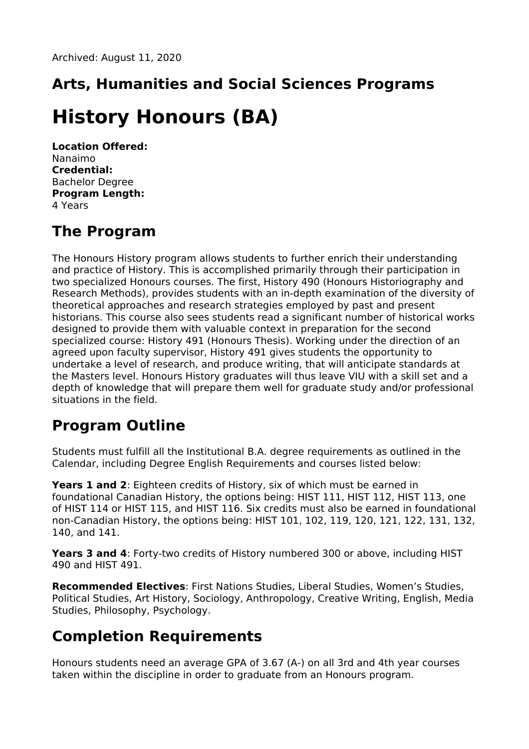# **Arts, Humanities and Social Sciences Programs**

## **History Honours (BA)**

**Location Offered:** Nanaimo **Credential:** Bachelor Degree **Program Length:** 4 Years

### **The Program**

The Honours History program allows students to further enrich their understanding and practice of History. This is accomplished primarily through their participation in two specialized Honours courses. The first, History 490 (Honours Historiography and Research Methods), provides students with an in-depth examination of the diversity of theoretical approaches and research strategies employed by past and present historians. This course also sees students read a significant number of historical works designed to provide them with valuable context in preparation for the second specialized course: History 491 (Honours Thesis). Working under the direction of an agreed upon faculty supervisor, History 491 gives students the opportunity to undertake a level of research, and produce writing, that will anticipate standards at the Masters level. Honours History graduates will thus leave VIU with a skill set and a depth of knowledge that will prepare them well for graduate study and/or professional situations in the field.

#### **Program Outline**

Students must fulfill all the Institutional B.A. degree requirements as outlined in the Calendar, including Degree English Requirements and courses listed below:

**Years 1 and 2**: Eighteen credits of History, six of which must be earned in foundational Canadian History, the options being: HIST 111, HIST 112, HIST 113, one of HIST 114 or HIST 115, and HIST 116. Six credits must also be earned in foundational non-Canadian History, the options being: HIST 101, 102, 119, 120, 121, 122, 131, 132, 140, and 141.

**Years 3 and 4**: Forty-two credits of History numbered 300 or above, including HIST 490 and HIST 491.

**Recommended Electives**: First Nations Studies, Liberal Studies, Women's Studies, Political Studies, Art History, Sociology, Anthropology, Creative Writing, English, Media Studies, Philosophy, Psychology.

#### **Completion Requirements**

Honours students need an average GPA of 3.67 (A-) on all 3rd and 4th year courses taken within the discipline in order to graduate from an Honours program.